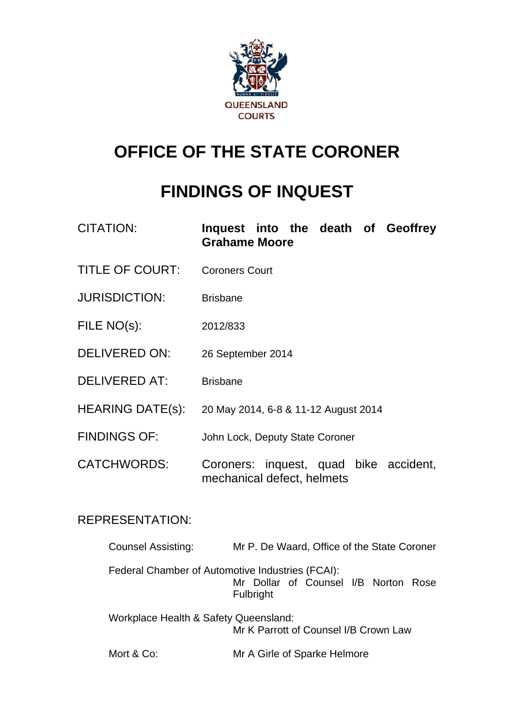

# **OFFICE OF THE STATE CORONER**

# **FINDINGS OF INQUEST**

| <b>CITATION:</b>        | Inquest into the death of Geoffrey<br><b>Grahame Moore</b>           |
|-------------------------|----------------------------------------------------------------------|
| <b>TITLE OF COURT:</b>  | <b>Coroners Court</b>                                                |
| <b>JURISDICTION:</b>    | <b>Brisbane</b>                                                      |
| FILE NO(s):             | 2012/833                                                             |
| <b>DELIVERED ON:</b>    | 26 September 2014                                                    |
| <b>DELIVERED AT:</b>    | <b>Brisbane</b>                                                      |
| <b>HEARING DATE(s):</b> | 20 May 2014, 6-8 & 11-12 August 2014                                 |
| <b>FINDINGS OF:</b>     | John Lock, Deputy State Coroner                                      |
| <b>CATCHWORDS:</b>      | Coroners: inquest, quad bike accident,<br>mechanical defect, helmets |

## REPRESENTATION:

| <b>Counsel Assisting:</b>                        | Mr P. De Waard, Office of the State Coroner       |
|--------------------------------------------------|---------------------------------------------------|
| Federal Chamber of Automotive Industries (FCAI): | Mr Dollar of Counsel I/B Norton Rose<br>Fulbright |
| Workplace Health & Safety Queensland:            | Mr K Parrott of Counsel I/B Crown Law             |
| Mort & Co:                                       | Mr A Girle of Sparke Helmore                      |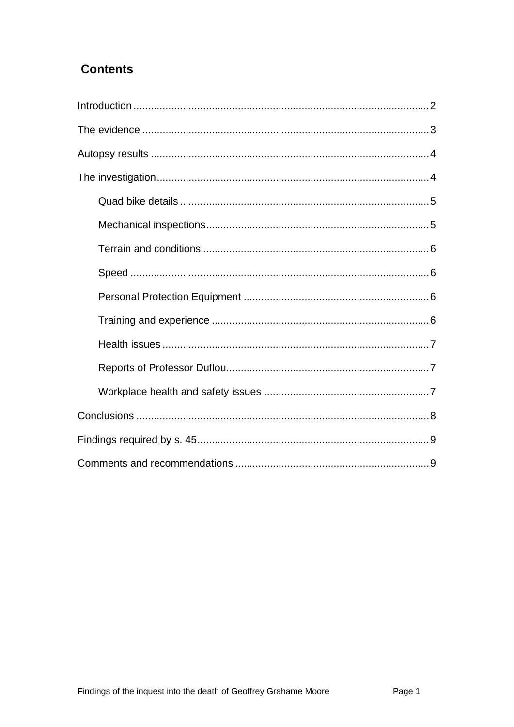## **Contents**

<span id="page-1-0"></span>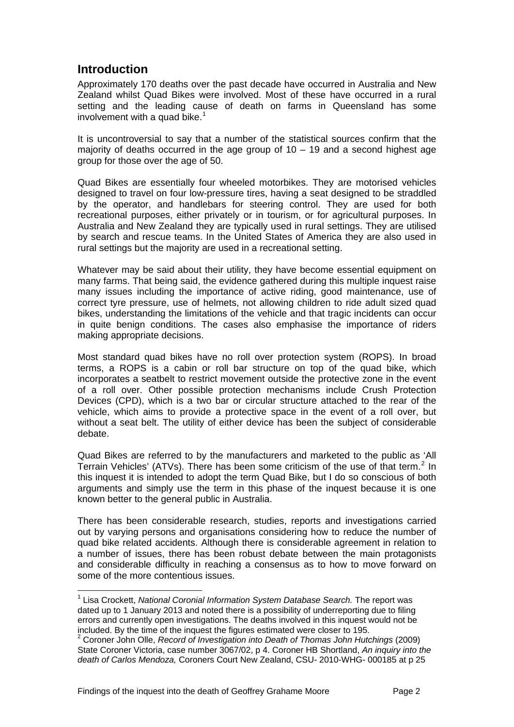## **Introduction**

l

<span id="page-2-0"></span>Approximately 170 deaths over the past decade have occurred in Australia and New Zealand whilst Quad Bikes were involved. Most of these have occurred in a rural setting and the leading cause of death on farms in Queensland has some involvement with a quad bike.<sup>[1](#page-1-0)</sup>

It is uncontroversial to say that a number of the statistical sources confirm that the majority of deaths occurred in the age group of  $10 - 19$  and a second highest age group for those over the age of 50.

Quad Bikes are essentially four wheeled motorbikes. They are motorised vehicles designed to travel on four low-pressure tires, having a seat designed to be straddled by the operator, and handlebars for steering control. They are used for both recreational purposes, either privately or in tourism, or for agricultural purposes. In Australia and New Zealand they are typically used in rural settings. They are utilised by search and rescue teams. In the United States of America they are also used in rural settings but the majority are used in a recreational setting.

Whatever may be said about their utility, they have become essential equipment on many farms. That being said, the evidence gathered during this multiple inquest raise many issues including the importance of active riding, good maintenance, use of correct tyre pressure, use of helmets, not allowing children to ride adult sized quad bikes, understanding the limitations of the vehicle and that tragic incidents can occur in quite benign conditions. The cases also emphasise the importance of riders making appropriate decisions.

Most standard quad bikes have no roll over protection system (ROPS). In broad terms, a ROPS is a cabin or roll bar structure on top of the quad bike, which incorporates a seatbelt to restrict movement outside the protective zone in the event of a roll over. Other possible protection mechanisms include Crush Protection Devices (CPD), which is a two bar or circular structure attached to the rear of the vehicle, which aims to provide a protective space in the event of a roll over, but without a seat belt. The utility of either device has been the subject of considerable debate.

Quad Bikes are referred to by the manufacturers and marketed to the public as 'All Terrain Vehicles' (ATVs). There has been some criticism of the use of that term.<sup>[2](#page-2-1)</sup> In this inquest it is intended to adopt the term Quad Bike, but I do so conscious of both arguments and simply use the term in this phase of the inquest because it is one known better to the general public in Australia.

There has been considerable research, studies, reports and investigations carried out by varying persons and organisations considering how to reduce the number of quad bike related accidents. Although there is considerable agreement in relation to a number of issues, there has been robust debate between the main protagonists and considerable difficulty in reaching a consensus as to how to move forward on some of the more contentious issues.

<sup>&</sup>lt;sup>1</sup> Lisa Crockett, *National Coronial Information System Database Search.* The report was dated up to 1 January 2013 and noted there is a possibility of underreporting due to filing errors and currently open investigations. The deaths involved in this inquest would not be included. By the time of the inquest the figures estimated were closer to 195. 2

<span id="page-2-1"></span><sup>&</sup>lt;sup>2</sup> Coroner John Olle, *Record of Investigation into Death of Thomas John Hutchings (2009)* State Coroner Victoria, case number 3067/02, p 4. Coroner HB Shortland, *An inquiry into the death of Carlos Mendoza,* Coroners Court New Zealand, CSU- 2010-WHG- 000185 at p 25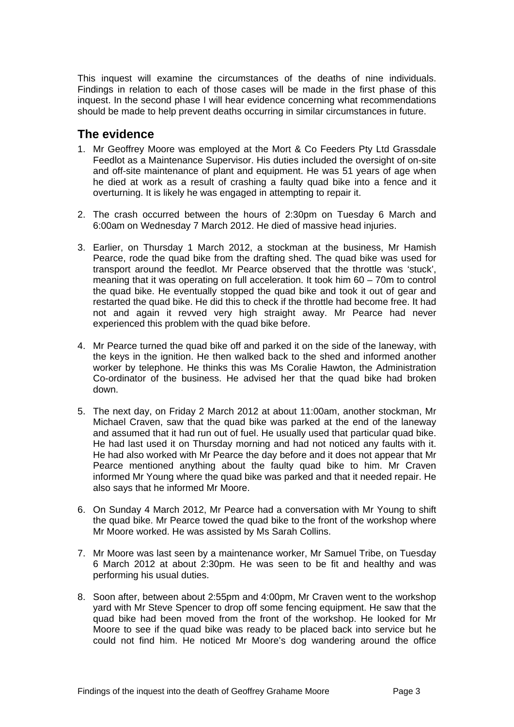This inquest will examine the circumstances of the deaths of nine individuals. Findings in relation to each of those cases will be made in the first phase of this inquest. In the second phase I will hear evidence concerning what recommendations should be made to help prevent deaths occurring in similar circumstances in future.

## <span id="page-3-0"></span>**The evidence**

- 1. Mr Geoffrey Moore was employed at the Mort & Co Feeders Pty Ltd Grassdale Feedlot as a Maintenance Supervisor. His duties included the oversight of on-site and off-site maintenance of plant and equipment. He was 51 years of age when he died at work as a result of crashing a faulty quad bike into a fence and it overturning. It is likely he was engaged in attempting to repair it.
- 2. The crash occurred between the hours of 2:30pm on Tuesday 6 March and 6:00am on Wednesday 7 March 2012. He died of massive head injuries.
- 3. Earlier, on Thursday 1 March 2012, a stockman at the business, Mr Hamish Pearce, rode the quad bike from the drafting shed. The quad bike was used for transport around the feedlot. Mr Pearce observed that the throttle was 'stuck', meaning that it was operating on full acceleration. It took him 60 – 70m to control the quad bike. He eventually stopped the quad bike and took it out of gear and restarted the quad bike. He did this to check if the throttle had become free. It had not and again it revved very high straight away. Mr Pearce had never experienced this problem with the quad bike before.
- 4. Mr Pearce turned the quad bike off and parked it on the side of the laneway, with the keys in the ignition. He then walked back to the shed and informed another worker by telephone. He thinks this was Ms Coralie Hawton, the Administration Co-ordinator of the business. He advised her that the quad bike had broken down.
- 5. The next day, on Friday 2 March 2012 at about 11:00am, another stockman, Mr Michael Craven, saw that the quad bike was parked at the end of the laneway and assumed that it had run out of fuel. He usually used that particular quad bike. He had last used it on Thursday morning and had not noticed any faults with it. He had also worked with Mr Pearce the day before and it does not appear that Mr Pearce mentioned anything about the faulty quad bike to him. Mr Craven informed Mr Young where the quad bike was parked and that it needed repair. He also says that he informed Mr Moore.
- 6. On Sunday 4 March 2012, Mr Pearce had a conversation with Mr Young to shift the quad bike. Mr Pearce towed the quad bike to the front of the workshop where Mr Moore worked. He was assisted by Ms Sarah Collins.
- 7. Mr Moore was last seen by a maintenance worker, Mr Samuel Tribe, on Tuesday 6 March 2012 at about 2:30pm. He was seen to be fit and healthy and was performing his usual duties.
- 8. Soon after, between about 2:55pm and 4:00pm, Mr Craven went to the workshop yard with Mr Steve Spencer to drop off some fencing equipment. He saw that the quad bike had been moved from the front of the workshop. He looked for Mr Moore to see if the quad bike was ready to be placed back into service but he could not find him. He noticed Mr Moore's dog wandering around the office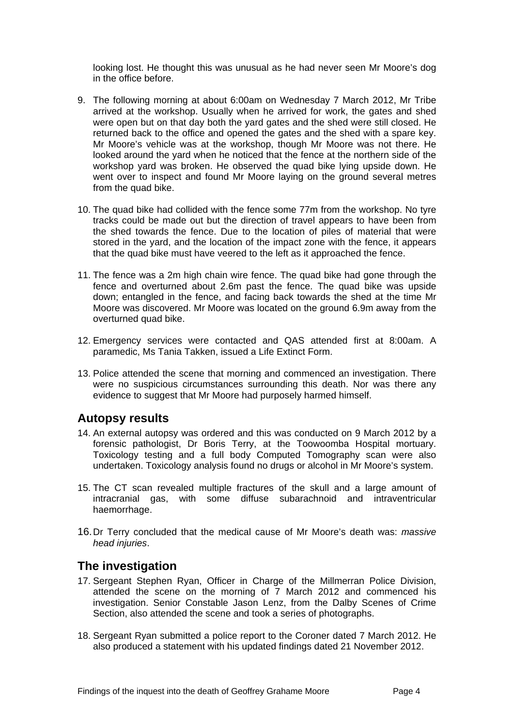looking lost. He thought this was unusual as he had never seen Mr Moore's dog in the office before.

- 9. The following morning at about 6:00am on Wednesday 7 March 2012, Mr Tribe arrived at the workshop. Usually when he arrived for work, the gates and shed were open but on that day both the yard gates and the shed were still closed. He returned back to the office and opened the gates and the shed with a spare key. Mr Moore's vehicle was at the workshop, though Mr Moore was not there. He looked around the yard when he noticed that the fence at the northern side of the workshop yard was broken. He observed the quad bike lying upside down. He went over to inspect and found Mr Moore laying on the ground several metres from the quad bike.
- 10. The quad bike had collided with the fence some 77m from the workshop. No tyre tracks could be made out but the direction of travel appears to have been from the shed towards the fence. Due to the location of piles of material that were stored in the yard, and the location of the impact zone with the fence, it appears that the quad bike must have veered to the left as it approached the fence.
- 11. The fence was a 2m high chain wire fence. The quad bike had gone through the fence and overturned about 2.6m past the fence. The quad bike was upside down; entangled in the fence, and facing back towards the shed at the time Mr Moore was discovered. Mr Moore was located on the ground 6.9m away from the overturned quad bike.
- 12. Emergency services were contacted and QAS attended first at 8:00am. A paramedic, Ms Tania Takken, issued a Life Extinct Form.
- 13. Police attended the scene that morning and commenced an investigation. There were no suspicious circumstances surrounding this death. Nor was there any evidence to suggest that Mr Moore had purposely harmed himself.

### <span id="page-4-0"></span>**Autopsy results**

- 14. An external autopsy was ordered and this was conducted on 9 March 2012 by a forensic pathologist, Dr Boris Terry, at the Toowoomba Hospital mortuary. Toxicology testing and a full body Computed Tomography scan were also undertaken. Toxicology analysis found no drugs or alcohol in Mr Moore's system.
- 15. The CT scan revealed multiple fractures of the skull and a large amount of intracranial gas, with some diffuse subarachnoid and intraventricular haemorrhage.
- 16.Dr Terry concluded that the medical cause of Mr Moore's death was: *massive head injuries*.

## <span id="page-4-1"></span>**The investigation**

- 17. Sergeant Stephen Ryan, Officer in Charge of the Millmerran Police Division, attended the scene on the morning of 7 March 2012 and commenced his investigation. Senior Constable Jason Lenz, from the Dalby Scenes of Crime Section, also attended the scene and took a series of photographs.
- 18. Sergeant Ryan submitted a police report to the Coroner dated 7 March 2012. He also produced a statement with his updated findings dated 21 November 2012.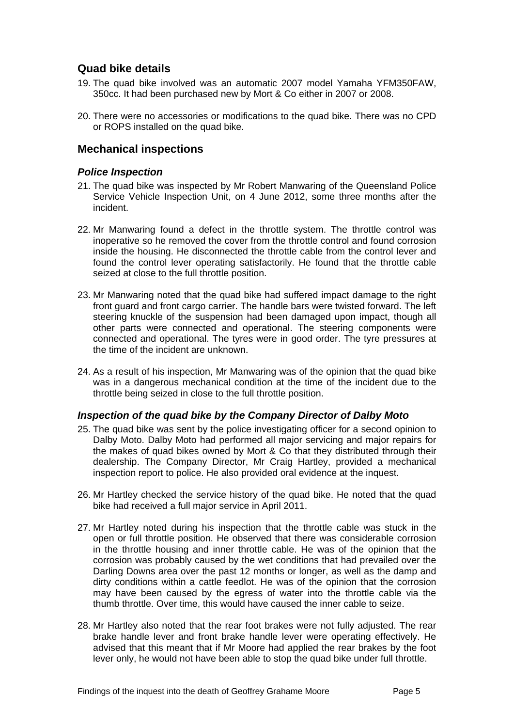## <span id="page-5-0"></span>**Quad bike details**

- 19. The quad bike involved was an automatic 2007 model Yamaha YFM350FAW, 350cc. It had been purchased new by Mort & Co either in 2007 or 2008.
- 20. There were no accessories or modifications to the quad bike. There was no CPD or ROPS installed on the quad bike.

#### <span id="page-5-1"></span>**Mechanical inspections**

#### *Police Inspection*

- 21. The quad bike was inspected by Mr Robert Manwaring of the Queensland Police Service Vehicle Inspection Unit, on 4 June 2012, some three months after the incident.
- 22. Mr Manwaring found a defect in the throttle system. The throttle control was inoperative so he removed the cover from the throttle control and found corrosion inside the housing. He disconnected the throttle cable from the control lever and found the control lever operating satisfactorily. He found that the throttle cable seized at close to the full throttle position.
- 23. Mr Manwaring noted that the quad bike had suffered impact damage to the right front guard and front cargo carrier. The handle bars were twisted forward. The left steering knuckle of the suspension had been damaged upon impact, though all other parts were connected and operational. The steering components were connected and operational. The tyres were in good order. The tyre pressures at the time of the incident are unknown.
- 24. As a result of his inspection, Mr Manwaring was of the opinion that the quad bike was in a dangerous mechanical condition at the time of the incident due to the throttle being seized in close to the full throttle position.

#### *Inspection of the quad bike by the Company Director of Dalby Moto*

- 25. The quad bike was sent by the police investigating officer for a second opinion to Dalby Moto. Dalby Moto had performed all major servicing and major repairs for the makes of quad bikes owned by Mort & Co that they distributed through their dealership. The Company Director, Mr Craig Hartley, provided a mechanical inspection report to police. He also provided oral evidence at the inquest.
- 26. Mr Hartley checked the service history of the quad bike. He noted that the quad bike had received a full major service in April 2011.
- 27. Mr Hartley noted during his inspection that the throttle cable was stuck in the open or full throttle position. He observed that there was considerable corrosion in the throttle housing and inner throttle cable. He was of the opinion that the corrosion was probably caused by the wet conditions that had prevailed over the Darling Downs area over the past 12 months or longer, as well as the damp and dirty conditions within a cattle feedlot. He was of the opinion that the corrosion may have been caused by the egress of water into the throttle cable via the thumb throttle. Over time, this would have caused the inner cable to seize.
- 28. Mr Hartley also noted that the rear foot brakes were not fully adjusted. The rear brake handle lever and front brake handle lever were operating effectively. He advised that this meant that if Mr Moore had applied the rear brakes by the foot lever only, he would not have been able to stop the quad bike under full throttle.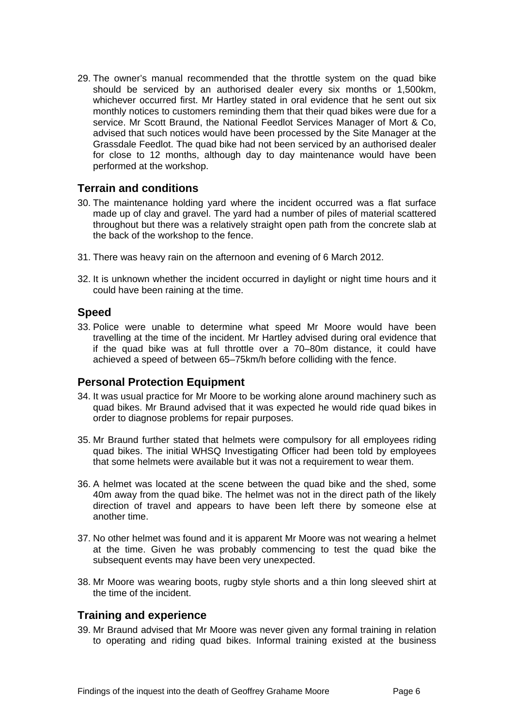29. The owner's manual recommended that the throttle system on the quad bike should be serviced by an authorised dealer every six months or 1,500km, whichever occurred first. Mr Hartley stated in oral evidence that he sent out six monthly notices to customers reminding them that their quad bikes were due for a service. Mr Scott Braund, the National Feedlot Services Manager of Mort & Co, advised that such notices would have been processed by the Site Manager at the Grassdale Feedlot. The quad bike had not been serviced by an authorised dealer for close to 12 months, although day to day maintenance would have been performed at the workshop.

#### <span id="page-6-0"></span>**Terrain and conditions**

- 30. The maintenance holding yard where the incident occurred was a flat surface made up of clay and gravel. The yard had a number of piles of material scattered throughout but there was a relatively straight open path from the concrete slab at the back of the workshop to the fence.
- 31. There was heavy rain on the afternoon and evening of 6 March 2012.
- 32. It is unknown whether the incident occurred in daylight or night time hours and it could have been raining at the time.

#### <span id="page-6-1"></span>**Speed**

33. Police were unable to determine what speed Mr Moore would have been travelling at the time of the incident. Mr Hartley advised during oral evidence that if the quad bike was at full throttle over a 70–80m distance, it could have achieved a speed of between 65–75km/h before colliding with the fence.

#### <span id="page-6-2"></span>**Personal Protection Equipment**

- 34. It was usual practice for Mr Moore to be working alone around machinery such as quad bikes. Mr Braund advised that it was expected he would ride quad bikes in order to diagnose problems for repair purposes.
- 35. Mr Braund further stated that helmets were compulsory for all employees riding quad bikes. The initial WHSQ Investigating Officer had been told by employees that some helmets were available but it was not a requirement to wear them.
- 36. A helmet was located at the scene between the quad bike and the shed, some 40m away from the quad bike. The helmet was not in the direct path of the likely direction of travel and appears to have been left there by someone else at another time.
- 37. No other helmet was found and it is apparent Mr Moore was not wearing a helmet at the time. Given he was probably commencing to test the quad bike the subsequent events may have been very unexpected.
- 38. Mr Moore was wearing boots, rugby style shorts and a thin long sleeved shirt at the time of the incident.

#### <span id="page-6-3"></span>**Training and experience**

39. Mr Braund advised that Mr Moore was never given any formal training in relation to operating and riding quad bikes. Informal training existed at the business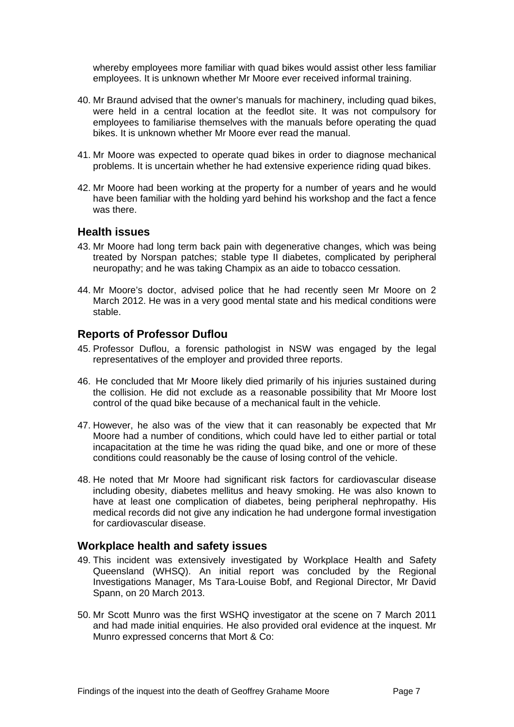whereby employees more familiar with quad bikes would assist other less familiar employees. It is unknown whether Mr Moore ever received informal training.

- 40. Mr Braund advised that the owner's manuals for machinery, including quad bikes, were held in a central location at the feedlot site. It was not compulsory for employees to familiarise themselves with the manuals before operating the quad bikes. It is unknown whether Mr Moore ever read the manual.
- 41. Mr Moore was expected to operate quad bikes in order to diagnose mechanical problems. It is uncertain whether he had extensive experience riding quad bikes.
- 42. Mr Moore had been working at the property for a number of years and he would have been familiar with the holding yard behind his workshop and the fact a fence was there.

#### <span id="page-7-0"></span>**Health issues**

- 43. Mr Moore had long term back pain with degenerative changes, which was being treated by Norspan patches; stable type II diabetes, complicated by peripheral neuropathy; and he was taking Champix as an aide to tobacco cessation.
- 44. Mr Moore's doctor, advised police that he had recently seen Mr Moore on 2 March 2012. He was in a very good mental state and his medical conditions were stable.

#### <span id="page-7-1"></span>**Reports of Professor Duflou**

- 45. Professor Duflou, a forensic pathologist in NSW was engaged by the legal representatives of the employer and provided three reports.
- 46. He concluded that Mr Moore likely died primarily of his injuries sustained during the collision. He did not exclude as a reasonable possibility that Mr Moore lost control of the quad bike because of a mechanical fault in the vehicle.
- 47. However, he also was of the view that it can reasonably be expected that Mr Moore had a number of conditions, which could have led to either partial or total incapacitation at the time he was riding the quad bike, and one or more of these conditions could reasonably be the cause of losing control of the vehicle.
- 48. He noted that Mr Moore had significant risk factors for cardiovascular disease including obesity, diabetes mellitus and heavy smoking. He was also known to have at least one complication of diabetes, being peripheral nephropathy. His medical records did not give any indication he had undergone formal investigation for cardiovascular disease.

#### <span id="page-7-2"></span>**Workplace health and safety issues**

- 49. This incident was extensively investigated by Workplace Health and Safety Queensland (WHSQ). An initial report was concluded by the Regional Investigations Manager, Ms Tara-Louise Bobf, and Regional Director, Mr David Spann, on 20 March 2013.
- 50. Mr Scott Munro was the first WSHQ investigator at the scene on 7 March 2011 and had made initial enquiries. He also provided oral evidence at the inquest. Mr Munro expressed concerns that Mort & Co: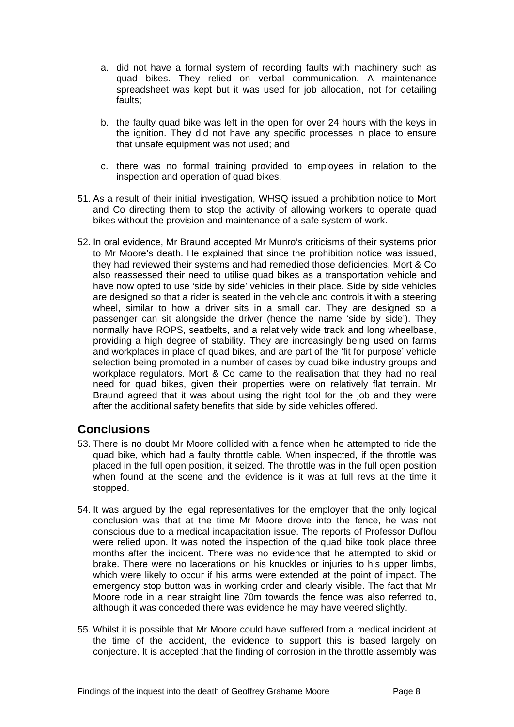- a. did not have a formal system of recording faults with machinery such as quad bikes. They relied on verbal communication. A maintenance spreadsheet was kept but it was used for job allocation, not for detailing faults;
- b. the faulty quad bike was left in the open for over 24 hours with the keys in the ignition. They did not have any specific processes in place to ensure that unsafe equipment was not used; and
- c. there was no formal training provided to employees in relation to the inspection and operation of quad bikes.
- 51. As a result of their initial investigation, WHSQ issued a prohibition notice to Mort and Co directing them to stop the activity of allowing workers to operate quad bikes without the provision and maintenance of a safe system of work.
- 52. In oral evidence, Mr Braund accepted Mr Munro's criticisms of their systems prior to Mr Moore's death. He explained that since the prohibition notice was issued, they had reviewed their systems and had remedied those deficiencies. Mort & Co also reassessed their need to utilise quad bikes as a transportation vehicle and have now opted to use 'side by side' vehicles in their place. Side by side vehicles are designed so that a rider is seated in the vehicle and controls it with a steering wheel, similar to how a driver sits in a small car. They are designed so a passenger can sit alongside the driver (hence the name 'side by side'). They normally have ROPS, seatbelts, and a relatively wide track and long wheelbase, providing a high degree of stability. They are increasingly being used on farms and workplaces in place of quad bikes, and are part of the 'fit for purpose' vehicle selection being promoted in a number of cases by quad bike industry groups and workplace regulators. Mort & Co came to the realisation that they had no real need for quad bikes, given their properties were on relatively flat terrain. Mr Braund agreed that it was about using the right tool for the job and they were after the additional safety benefits that side by side vehicles offered.

## <span id="page-8-0"></span>**Conclusions**

- 53. There is no doubt Mr Moore collided with a fence when he attempted to ride the quad bike, which had a faulty throttle cable. When inspected, if the throttle was placed in the full open position, it seized. The throttle was in the full open position when found at the scene and the evidence is it was at full revs at the time it stopped.
- 54. It was argued by the legal representatives for the employer that the only logical conclusion was that at the time Mr Moore drove into the fence, he was not conscious due to a medical incapacitation issue. The reports of Professor Duflou were relied upon. It was noted the inspection of the quad bike took place three months after the incident. There was no evidence that he attempted to skid or brake. There were no lacerations on his knuckles or injuries to his upper limbs, which were likely to occur if his arms were extended at the point of impact. The emergency stop button was in working order and clearly visible. The fact that Mr Moore rode in a near straight line 70m towards the fence was also referred to, although it was conceded there was evidence he may have veered slightly.
- 55. Whilst it is possible that Mr Moore could have suffered from a medical incident at the time of the accident, the evidence to support this is based largely on conjecture. It is accepted that the finding of corrosion in the throttle assembly was